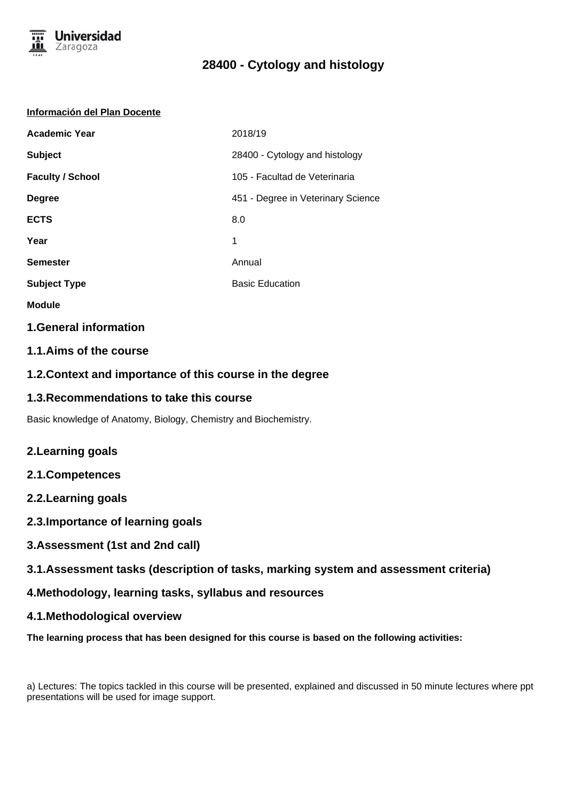

#### **Información del Plan Docente**

| <b>Academic Year</b>    | 2018/19                            |
|-------------------------|------------------------------------|
| <b>Subject</b>          | 28400 - Cytology and histology     |
| <b>Faculty / School</b> | 105 - Facultad de Veterinaria      |
| <b>Degree</b>           | 451 - Degree in Veterinary Science |
| <b>ECTS</b>             | 8.0                                |
| Year                    | 1                                  |
| <b>Semester</b>         | Annual                             |
| <b>Subject Type</b>     | <b>Basic Education</b>             |

- **Module**
- **1.General information**

## **1.1.Aims of the course**

## **1.2.Context and importance of this course in the degree**

### **1.3.Recommendations to take this course**

Basic knowledge of Anatomy, Biology, Chemistry and Biochemistry.

## **2.Learning goals**

- **2.1.Competences**
- **2.2.Learning goals**
- **2.3.Importance of learning goals**
- **3.Assessment (1st and 2nd call)**
- **3.1.Assessment tasks (description of tasks, marking system and assessment criteria)**
- **4.Methodology, learning tasks, syllabus and resources**
- **4.1.Methodological overview**

**The learning process that has been designed for this course is based on the following activities:**

a) Lectures: The topics tackled in this course will be presented, explained and discussed in 50 minute lectures where ppt presentations will be used for image support.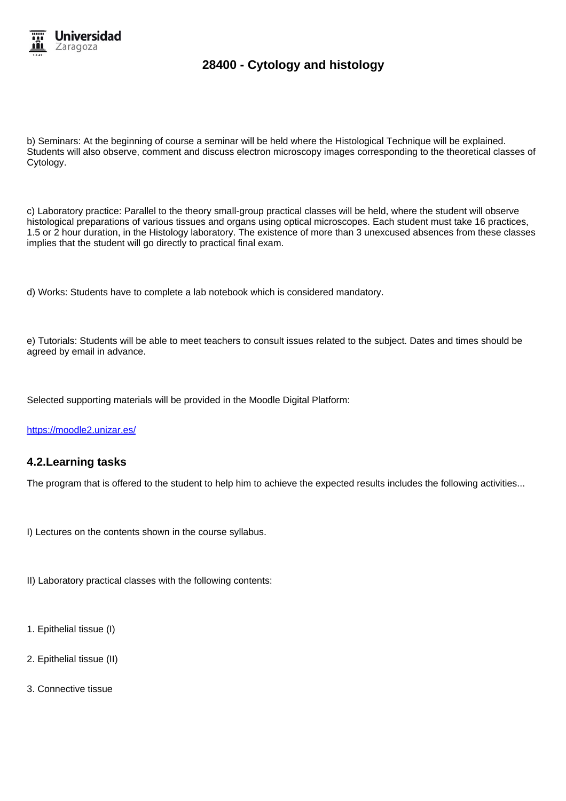

b) Seminars: At the beginning of course a seminar will be held where the Histological Technique will be explained. Students will also observe, comment and discuss electron microscopy images corresponding to the theoretical classes of Cytology.

c) Laboratory practice: Parallel to the theory small-group practical classes will be held, where the student will observe histological preparations of various tissues and organs using optical microscopes. Each student must take 16 practices, 1.5 or 2 hour duration, in the Histology laboratory. The existence of more than 3 unexcused absences from these classes implies that the student will go directly to practical final exam.

d) Works: Students have to complete a lab notebook which is considered mandatory.

e) Tutorials: Students will be able to meet teachers to consult issues related to the subject. Dates and times should be agreed by email in advance.

Selected supporting materials will be provided in the Moodle Digital Platform:

https://moodle2.unizar.es/

### **4.2.Learning tasks**

The program that is offered to the student to help him to achieve the expected results includes the following activities...

- I) Lectures on the contents shown in the course syllabus.
- II) Laboratory practical classes with the following contents:
- 1. Epithelial tissue (I)
- 2. Epithelial tissue (II)
- 3. Connective tissue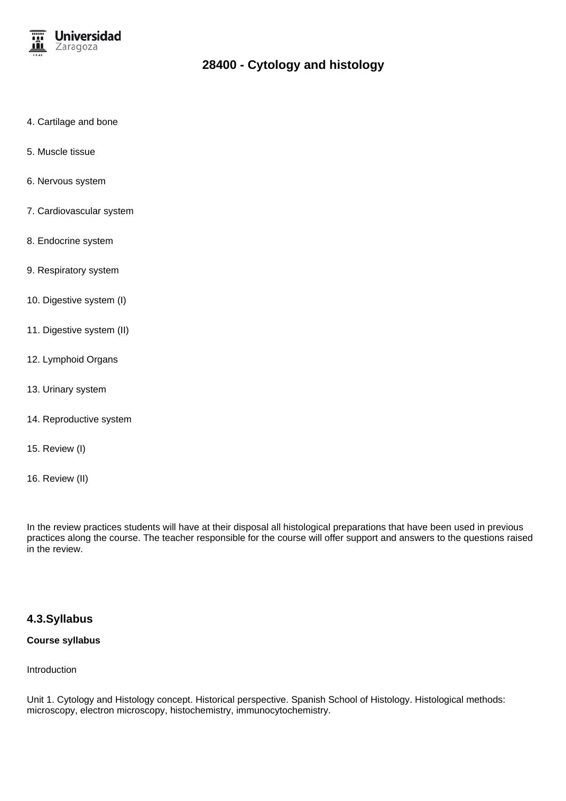

- 4. Cartilage and bone
- 5. Muscle tissue
- 6. Nervous system
- 7. Cardiovascular system
- 8. Endocrine system
- 9. Respiratory system
- 10. Digestive system (I)
- 11. Digestive system (II)
- 12. Lymphoid Organs
- 13. Urinary system
- 14. Reproductive system
- 15. Review (I)
- 16. Review (II)

In the review practices students will have at their disposal all histological preparations that have been used in previous practices along the course. The teacher responsible for the course will offer support and answers to the questions raised in the review.

### **4.3.Syllabus**

### **Course syllabus**

Introduction

Unit 1. Cytology and Histology concept. Historical perspective. Spanish School of Histology. Histological methods: microscopy, electron microscopy, histochemistry, immunocytochemistry.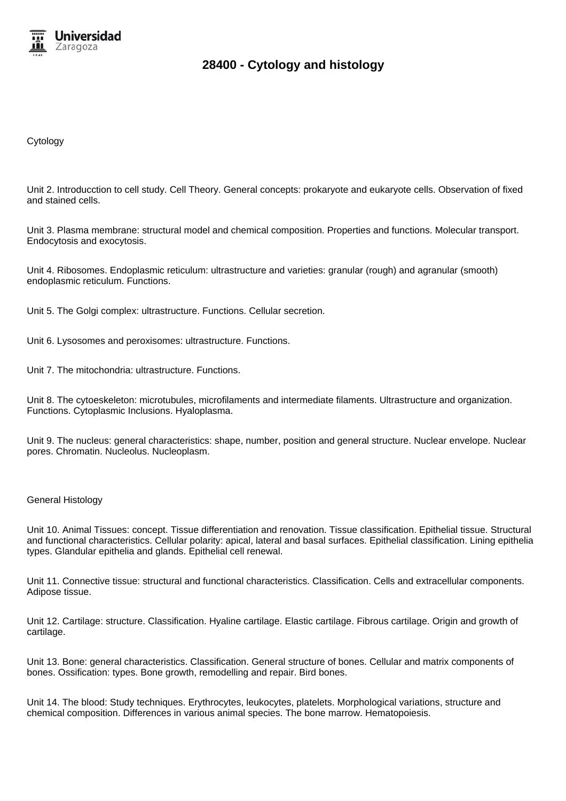

Cytology

Unit 2. Introducction to cell study. Cell Theory. General concepts: prokaryote and eukaryote cells. Observation of fixed and stained cells.

Unit 3. Plasma membrane: structural model and chemical composition. Properties and functions. Molecular transport. Endocytosis and exocytosis.

Unit 4. Ribosomes. Endoplasmic reticulum: ultrastructure and varieties: granular (rough) and agranular (smooth) endoplasmic reticulum. Functions.

Unit 5. The Golgi complex: ultrastructure. Functions. Cellular secretion.

Unit 6. Lysosomes and peroxisomes: ultrastructure. Functions.

Unit 7. The mitochondria: ultrastructure. Functions.

Unit 8. The cytoeskeleton: microtubules, microfilaments and intermediate filaments. Ultrastructure and organization. Functions. Cytoplasmic Inclusions. Hyaloplasma.

Unit 9. The nucleus: general characteristics: shape, number, position and general structure. Nuclear envelope. Nuclear pores. Chromatin. Nucleolus. Nucleoplasm.

#### General Histology

Unit 10. Animal Tissues: concept. Tissue differentiation and renovation. Tissue classification. Epithelial tissue. Structural and functional characteristics. Cellular polarity: apical, lateral and basal surfaces. Epithelial classification. Lining epithelia types. Glandular epithelia and glands. Epithelial cell renewal.

Unit 11. Connective tissue: structural and functional characteristics. Classification. Cells and extracellular components. Adipose tissue.

Unit 12. Cartilage: structure. Classification. Hyaline cartilage. Elastic cartilage. Fibrous cartilage. Origin and growth of cartilage.

Unit 13. Bone: general characteristics. Classification. General structure of bones. Cellular and matrix components of bones. Ossification: types. Bone growth, remodelling and repair. Bird bones.

Unit 14. The blood: Study techniques. Erythrocytes, leukocytes, platelets. Morphological variations, structure and chemical composition. Differences in various animal species. The bone marrow. Hematopoiesis.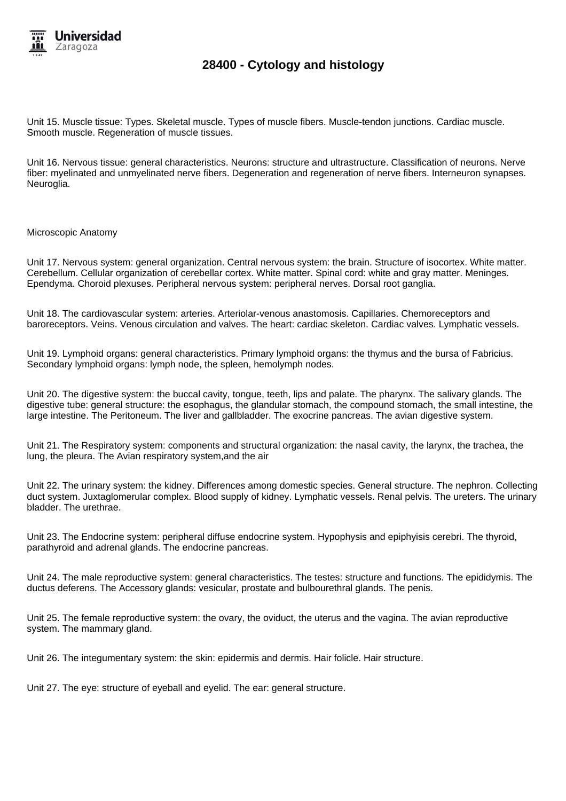

Unit 15. Muscle tissue: Types. Skeletal muscle. Types of muscle fibers. Muscle-tendon junctions. Cardiac muscle. Smooth muscle. Regeneration of muscle tissues.

Unit 16. Nervous tissue: general characteristics. Neurons: structure and ultrastructure. Classification of neurons. Nerve fiber: myelinated and unmyelinated nerve fibers. Degeneration and regeneration of nerve fibers. Interneuron synapses. Neuroglia.

Microscopic Anatomy

Unit 17. Nervous system: general organization. Central nervous system: the brain. Structure of isocortex. White matter. Cerebellum. Cellular organization of cerebellar cortex. White matter. Spinal cord: white and gray matter. Meninges. Ependyma. Choroid plexuses. Peripheral nervous system: peripheral nerves. Dorsal root ganglia.

Unit 18. The cardiovascular system: arteries. Arteriolar-venous anastomosis. Capillaries. Chemoreceptors and baroreceptors. Veins. Venous circulation and valves. The heart: cardiac skeleton. Cardiac valves. Lymphatic vessels.

Unit 19. Lymphoid organs: general characteristics. Primary lymphoid organs: the thymus and the bursa of Fabricius. Secondary lymphoid organs: lymph node, the spleen, hemolymph nodes.

Unit 20. The digestive system: the buccal cavity, tongue, teeth, lips and palate. The pharynx. The salivary glands. The digestive tube: general structure: the esophagus, the glandular stomach, the compound stomach, the small intestine, the large intestine. The Peritoneum. The liver and gallbladder. The exocrine pancreas. The avian digestive system.

Unit 21. The Respiratory system: components and structural organization: the nasal cavity, the larynx, the trachea, the lung, the pleura. The Avian respiratory system,and the air

Unit 22. The urinary system: the kidney. Differences among domestic species. General structure. The nephron. Collecting duct system. Juxtaglomerular complex. Blood supply of kidney. Lymphatic vessels. Renal pelvis. The ureters. The urinary bladder. The urethrae.

Unit 23. The Endocrine system: peripheral diffuse endocrine system. Hypophysis and epiphyisis cerebri. The thyroid, parathyroid and adrenal glands. The endocrine pancreas.

Unit 24. The male reproductive system: general characteristics. The testes: structure and functions. The epididymis. The ductus deferens. The Accessory glands: vesicular, prostate and bulbourethral glands. The penis.

Unit 25. The female reproductive system: the ovary, the oviduct, the uterus and the vagina. The avian reproductive system. The mammary gland.

Unit 26. The integumentary system: the skin: epidermis and dermis. Hair folicle. Hair structure.

Unit 27. The eye: structure of eyeball and eyelid. The ear: general structure.